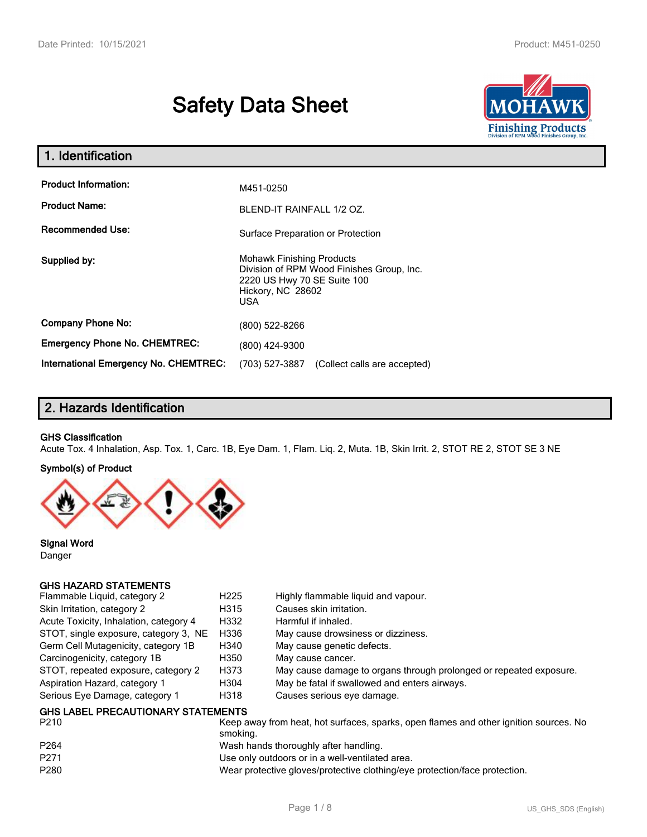# **Safety Data Sheet**



| 1. Identification                                   |                                                                                                                                                 |  |
|-----------------------------------------------------|-------------------------------------------------------------------------------------------------------------------------------------------------|--|
| <b>Product Information:</b><br><b>Product Name:</b> | M451-0250                                                                                                                                       |  |
| <b>Recommended Use:</b>                             | BLEND-IT RAINFALL 1/2 OZ.<br>Surface Preparation or Protection                                                                                  |  |
| Supplied by:                                        | <b>Mohawk Finishing Products</b><br>Division of RPM Wood Finishes Group, Inc.<br>2220 US Hwy 70 SE Suite 100<br>Hickory, NC 28602<br><b>USA</b> |  |
| <b>Company Phone No:</b>                            | (800) 522-8266                                                                                                                                  |  |
| <b>Emergency Phone No. CHEMTREC:</b>                | (800) 424-9300                                                                                                                                  |  |
| <b>International Emergency No. CHEMTREC:</b>        | (703) 527-3887<br>(Collect calls are accepted)                                                                                                  |  |

## **2. Hazards Identification**

#### **GHS Classification**

Acute Tox. 4 Inhalation, Asp. Tox. 1, Carc. 1B, Eye Dam. 1, Flam. Liq. 2, Muta. 1B, Skin Irrit. 2, STOT RE 2, STOT SE 3 NE

#### **Symbol(s) of Product**



**Signal Word** Danger

#### **GHS HAZARD STATEMENTS**

| Flammable Liquid, category 2                      | H <sub>225</sub> | Highly flammable liquid and vapour.                                |
|---------------------------------------------------|------------------|--------------------------------------------------------------------|
| Skin Irritation, category 2                       | H315             | Causes skin irritation.                                            |
| Acute Toxicity, Inhalation, category 4            | H332             | Harmful if inhaled.                                                |
| STOT, single exposure, category 3, NE             | H336             | May cause drowsiness or dizziness.                                 |
| Germ Cell Mutagenicity, category 1B               | H340             | May cause genetic defects.                                         |
| Carcinogenicity, category 1B                      | H350             | May cause cancer.                                                  |
| STOT, repeated exposure, category 2               | H373             | May cause damage to organs through prolonged or repeated exposure. |
| Aspiration Hazard, category 1                     | H304             | May be fatal if swallowed and enters airways.                      |
| Serious Eye Damage, category 1                    | H318             | Causes serious eye damage.                                         |
| <b>GHS LABEL PRECAUTIONARY STATEMENTS</b><br>---- |                  |                                                                    |

| P264<br>Wash hands thoroughly after handling.<br>P <sub>271</sub><br>Use only outdoors or in a well-ventilated area.<br>P280<br>Wear protective gloves/protective clothing/eye protection/face protection. | P210 | Keep away from heat, hot surfaces, sparks, open flames and other ignition sources. No<br>smoking. |
|------------------------------------------------------------------------------------------------------------------------------------------------------------------------------------------------------------|------|---------------------------------------------------------------------------------------------------|
|                                                                                                                                                                                                            |      |                                                                                                   |
|                                                                                                                                                                                                            |      |                                                                                                   |
|                                                                                                                                                                                                            |      |                                                                                                   |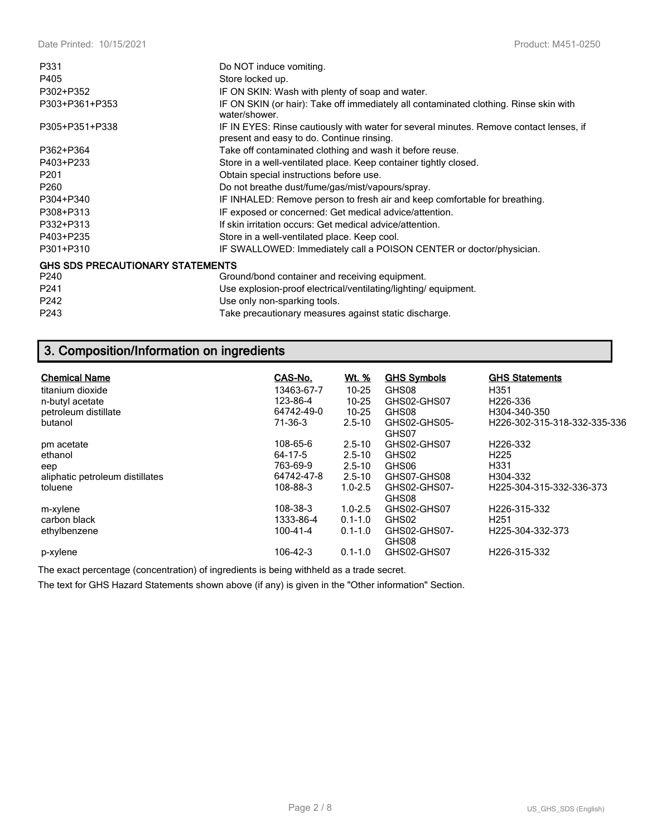| P331                                    | Do NOT induce vomiting.                                                                                                             |
|-----------------------------------------|-------------------------------------------------------------------------------------------------------------------------------------|
| P405                                    | Store locked up.                                                                                                                    |
| P302+P352                               | IF ON SKIN: Wash with plenty of soap and water.                                                                                     |
| P303+P361+P353                          | IF ON SKIN (or hair): Take off immediately all contaminated clothing. Rinse skin with<br>water/shower.                              |
| P305+P351+P338                          | IF IN EYES: Rinse cautiously with water for several minutes. Remove contact lenses, if<br>present and easy to do. Continue rinsing. |
| P362+P364                               | Take off contaminated clothing and wash it before reuse.                                                                            |
| P403+P233                               | Store in a well-ventilated place. Keep container tightly closed.                                                                    |
| P <sub>201</sub>                        | Obtain special instructions before use.                                                                                             |
| P260                                    | Do not breathe dust/fume/gas/mist/vapours/spray.                                                                                    |
| P304+P340                               | IF INHALED: Remove person to fresh air and keep comfortable for breathing.                                                          |
| P308+P313                               | IF exposed or concerned: Get medical advice/attention.                                                                              |
| P332+P313                               | If skin irritation occurs: Get medical advice/attention.                                                                            |
| P403+P235                               | Store in a well-ventilated place. Keep cool.                                                                                        |
| P301+P310                               | IF SWALLOWED: Immediately call a POISON CENTER or doctor/physician.                                                                 |
| <b>GHS SDS PRECAUTIONARY STATEMENTS</b> |                                                                                                                                     |
| P240                                    | Ground/bond container and receiving equipment.                                                                                      |
| P241                                    | Use explosion-proof electrical/ventilating/lighting/equipment.                                                                      |
| P242                                    | Use only non-sparking tools.                                                                                                        |
| P243                                    | Take precautionary measures against static discharge.                                                                               |

## **3. Composition/Information on ingredients**

| <b>Chemical Name</b><br>titanium dioxide<br>n-butyl acetate<br>petroleum distillate<br>butanol | CAS-No.<br>13463-67-7<br>123-86-4<br>64742-49-0<br>71-36-3 | <u>Wt. %</u><br>$10 - 25$<br>$10 - 25$<br>$10 - 25$<br>$2.5 - 10$   | <b>GHS Symbols</b><br>GHS08<br>GHS02-GHS07<br>GHS08<br>GHS02-GHS05-<br>GHS07 | <b>GHS Statements</b><br>H351<br>H <sub>226</sub> -336<br>H304-340-350<br>H226-302-315-318-332-335-336 |
|------------------------------------------------------------------------------------------------|------------------------------------------------------------|---------------------------------------------------------------------|------------------------------------------------------------------------------|--------------------------------------------------------------------------------------------------------|
| pm acetate<br>ethanol<br>eep<br>aliphatic petroleum distillates<br>toluene                     | 108-65-6<br>64-17-5<br>763-69-9<br>64742-47-8<br>108-88-3  | $2.5 - 10$<br>$2.5 - 10$<br>$2.5 - 10$<br>$2.5 - 10$<br>$1.0 - 2.5$ | GHS02-GHS07<br>GHS02<br>GHS06<br>GHS07-GHS08<br>GHS02-GHS07-<br>GHS08        | H <sub>226</sub> -332<br>H <sub>225</sub><br>H331<br>H304-332<br>H225-304-315-332-336-373              |
| m-xylene<br>carbon black<br>ethylbenzene<br>p-xylene                                           | 108-38-3<br>1333-86-4<br>100-41-4<br>106-42-3              | $1.0 - 2.5$<br>$0.1 - 1.0$<br>$0.1 - 1.0$<br>$0.1 - 1.0$            | GHS02-GHS07<br>GHS02<br>GHS02-GHS07-<br>GHS08<br>GHS02-GHS07                 | H <sub>226</sub> -315-332<br>H <sub>251</sub><br>H <sub>225</sub> -304-332-373<br>H226-315-332         |

The exact percentage (concentration) of ingredients is being withheld as a trade secret.

The text for GHS Hazard Statements shown above (if any) is given in the "Other information" Section.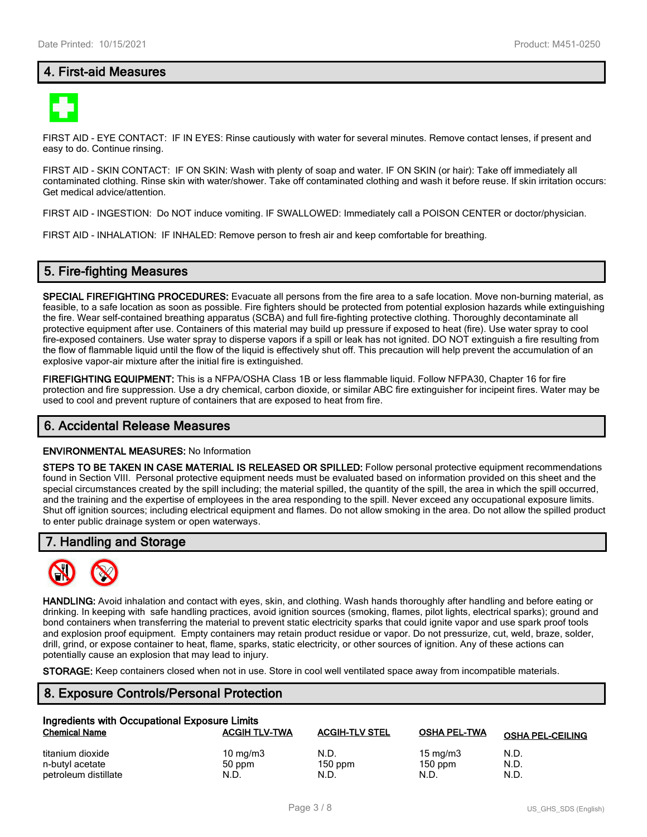## **4. First-aid Measures**



FIRST AID - EYE CONTACT: IF IN EYES: Rinse cautiously with water for several minutes. Remove contact lenses, if present and easy to do. Continue rinsing.

FIRST AID - SKIN CONTACT: IF ON SKIN: Wash with plenty of soap and water. IF ON SKIN (or hair): Take off immediately all contaminated clothing. Rinse skin with water/shower. Take off contaminated clothing and wash it before reuse. If skin irritation occurs: Get medical advice/attention.

FIRST AID - INGESTION: Do NOT induce vomiting. IF SWALLOWED: Immediately call a POISON CENTER or doctor/physician.

FIRST AID - INHALATION: IF INHALED: Remove person to fresh air and keep comfortable for breathing.

#### **5. Fire-fighting Measures**

**SPECIAL FIREFIGHTING PROCEDURES:** Evacuate all persons from the fire area to a safe location. Move non-burning material, as feasible, to a safe location as soon as possible. Fire fighters should be protected from potential explosion hazards while extinguishing the fire. Wear self-contained breathing apparatus (SCBA) and full fire-fighting protective clothing. Thoroughly decontaminate all protective equipment after use. Containers of this material may build up pressure if exposed to heat (fire). Use water spray to cool fire-exposed containers. Use water spray to disperse vapors if a spill or leak has not ignited. DO NOT extinguish a fire resulting from the flow of flammable liquid until the flow of the liquid is effectively shut off. This precaution will help prevent the accumulation of an explosive vapor-air mixture after the initial fire is extinguished.

**FIREFIGHTING EQUIPMENT:** This is a NFPA/OSHA Class 1B or less flammable liquid. Follow NFPA30, Chapter 16 for fire protection and fire suppression. Use a dry chemical, carbon dioxide, or similar ABC fire extinguisher for incipeint fires. Water may be used to cool and prevent rupture of containers that are exposed to heat from fire.

#### **6. Accidental Release Measures**

#### **ENVIRONMENTAL MEASURES:** No Information

**STEPS TO BE TAKEN IN CASE MATERIAL IS RELEASED OR SPILLED:** Follow personal protective equipment recommendations found in Section VIII. Personal protective equipment needs must be evaluated based on information provided on this sheet and the special circumstances created by the spill including; the material spilled, the quantity of the spill, the area in which the spill occurred, and the training and the expertise of employees in the area responding to the spill. Never exceed any occupational exposure limits. Shut off ignition sources; including electrical equipment and flames. Do not allow smoking in the area. Do not allow the spilled product to enter public drainage system or open waterways.

#### **7. Handling and Storage**



**HANDLING:** Avoid inhalation and contact with eyes, skin, and clothing. Wash hands thoroughly after handling and before eating or drinking. In keeping with safe handling practices, avoid ignition sources (smoking, flames, pilot lights, electrical sparks); ground and bond containers when transferring the material to prevent static electricity sparks that could ignite vapor and use spark proof tools and explosion proof equipment. Empty containers may retain product residue or vapor. Do not pressurize, cut, weld, braze, solder, drill, grind, or expose container to heat, flame, sparks, static electricity, or other sources of ignition. Any of these actions can potentially cause an explosion that may lead to injury.

**STORAGE:** Keep containers closed when not in use. Store in cool well ventilated space away from incompatible materials.

## **8. Exposure Controls/Personal Protection**

| Ingredients with Occupational Exposure Limits |                      |                       |                     |                         |  |  |
|-----------------------------------------------|----------------------|-----------------------|---------------------|-------------------------|--|--|
| <b>Chemical Name</b>                          | <b>ACGIH TLV-TWA</b> | <b>ACGIH-TLV STEL</b> | <b>OSHA PEL-TWA</b> | <b>OSHA PEL-CEILING</b> |  |  |
| titanium dioxide                              | 10 $mq/m3$           | N.D.                  | $15 \text{ mg/m}$   | N.D.                    |  |  |
| n-butyl acetate                               | 50 ppm               | $150$ ppm             | $150$ ppm           | N.D.                    |  |  |
| petroleum distillate                          | N.D.                 | N.D.                  | N.D.                | N.D.                    |  |  |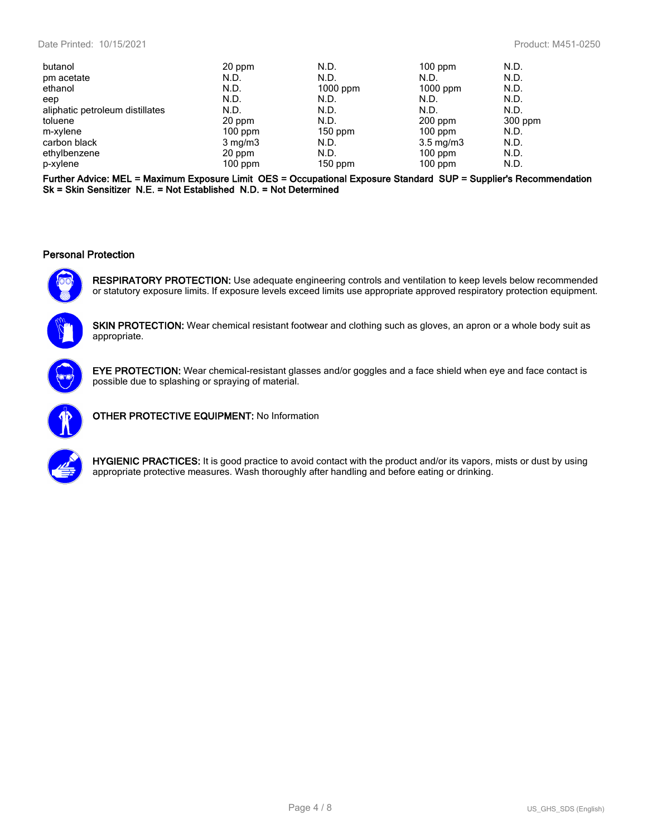| butanol                         | 20 ppm           | N.D.       | $100$ ppm          | N.D.    |
|---------------------------------|------------------|------------|--------------------|---------|
| pm acetate                      | N.D.             | N.D.       | N.D.               | N.D.    |
| ethanol                         | N.D.             | $1000$ ppm | $1000$ ppm         | N.D.    |
| eep                             | N.D.             | N.D.       | N.D.               | N.D.    |
| aliphatic petroleum distillates | N.D.             | N.D.       | N.D.               | N.D.    |
| toluene                         | 20 ppm           | N.D.       | $200$ ppm          | 300 ppm |
| m-xylene                        | $100$ ppm        | $150$ ppm  | $100$ ppm          | N.D.    |
| carbon black                    | $3 \text{ mg/m}$ | N.D.       | $3.5 \text{ mg/m}$ | N.D.    |
| ethylbenzene                    | 20 ppm           | N.D.       | $100$ ppm          | N.D.    |
| p-xylene                        | $100$ ppm        | $150$ ppm  | $100$ ppm          | N.D.    |

**Further Advice: MEL = Maximum Exposure Limit OES = Occupational Exposure Standard SUP = Supplier's Recommendation Sk = Skin Sensitizer N.E. = Not Established N.D. = Not Determined**

#### **Personal Protection**



**RESPIRATORY PROTECTION:** Use adequate engineering controls and ventilation to keep levels below recommended or statutory exposure limits. If exposure levels exceed limits use appropriate approved respiratory protection equipment.



**SKIN PROTECTION:** Wear chemical resistant footwear and clothing such as gloves, an apron or a whole body suit as appropriate.



**EYE PROTECTION:** Wear chemical-resistant glasses and/or goggles and a face shield when eye and face contact is possible due to splashing or spraying of material.



**OTHER PROTECTIVE EQUIPMENT:** No Information



**HYGIENIC PRACTICES:** It is good practice to avoid contact with the product and/or its vapors, mists or dust by using appropriate protective measures. Wash thoroughly after handling and before eating or drinking.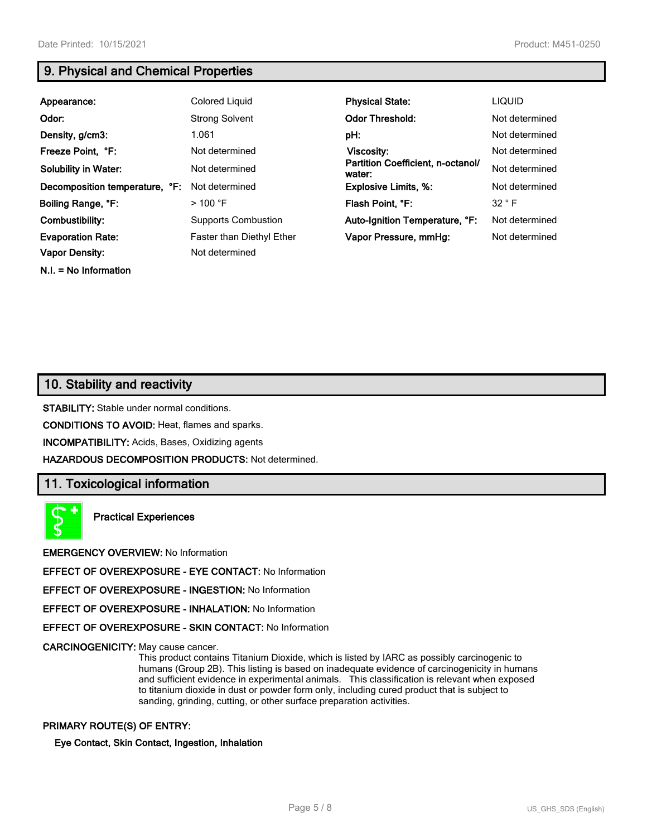**N.I. = No Information**

## **9. Physical and Chemical Properties**

| Appearance:                    | Colored Liquid                   | <b>Physical State:</b>                      | <b>LIQUID</b>  |
|--------------------------------|----------------------------------|---------------------------------------------|----------------|
| Odor:                          | <b>Strong Solvent</b>            | <b>Odor Threshold:</b>                      | Not determined |
| Density, g/cm3:                | 1.061                            | pH:                                         | Not determined |
| Freeze Point, °F:              | Not determined                   | Viscosity:                                  | Not determined |
| <b>Solubility in Water:</b>    | Not determined                   | Partition Coefficient, n-octanol/<br>water: | Not determined |
| Decomposition temperature, °F: | Not determined                   | <b>Explosive Limits, %:</b>                 | Not determined |
| Boiling Range, °F:             | $>$ 100 °F                       | Flash Point, °F:                            | 32 ° F         |
| Combustibility:                | <b>Supports Combustion</b>       | Auto-Ignition Temperature, °F:              | Not determined |
| <b>Evaporation Rate:</b>       | <b>Faster than Diethyl Ether</b> | Vapor Pressure, mmHg:                       | Not determined |
| <b>Vapor Density:</b>          | Not determined                   |                                             |                |

## **10. Stability and reactivity**

**STABILITY:** Stable under normal conditions.

**CONDITIONS TO AVOID:** Heat, flames and sparks.

**INCOMPATIBILITY:** Acids, Bases, Oxidizing agents

**HAZARDOUS DECOMPOSITION PRODUCTS:** Not determined.

#### **11. Toxicological information**

**Practical Experiences**

**EMERGENCY OVERVIEW:** No Information

**EFFECT OF OVEREXPOSURE - EYE CONTACT:** No Information

**EFFECT OF OVEREXPOSURE - INGESTION:** No Information

**EFFECT OF OVEREXPOSURE - INHALATION:** No Information

**EFFECT OF OVEREXPOSURE - SKIN CONTACT:** No Information

**CARCINOGENICITY:** May cause cancer.

This product contains Titanium Dioxide, which is listed by IARC as possibly carcinogenic to humans (Group 2B). This listing is based on inadequate evidence of carcinogenicity in humans and sufficient evidence in experimental animals. This classification is relevant when exposed to titanium dioxide in dust or powder form only, including cured product that is subject to sanding, grinding, cutting, or other surface preparation activities.

#### **PRIMARY ROUTE(S) OF ENTRY:**

**Eye Contact, Skin Contact, Ingestion, Inhalation**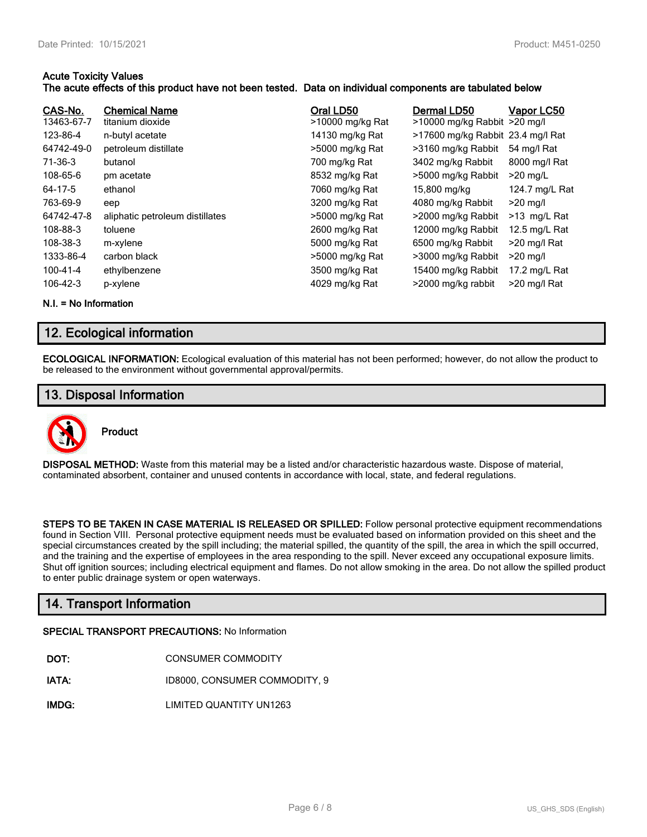#### **Acute Toxicity Values**

#### **The acute effects of this product have not been tested. Data on individual components are tabulated below**

| CAS-No.<br>13463-67-7<br>123-86-4<br>64742-49-0<br>71-36-3<br>108-65-6<br>64-17-5<br>763-69-9<br>64742-47-8 | <b>Chemical Name</b><br>titanium dioxide<br>n-butyl acetate<br>petroleum distillate<br>butanol<br>pm acetate<br>ethanol<br>eep<br>aliphatic petroleum distillates | Oral LD50<br>>10000 mg/kg Rat<br>14130 mg/kg Rat<br>>5000 mg/kg Rat<br>700 mg/kg Rat<br>8532 mg/kg Rat<br>7060 mg/kg Rat<br>3200 mg/kg Rat<br>>5000 mg/kg Rat | Dermal LD50<br>>10000 mg/kg Rabbit >20 mg/l<br>>17600 mg/kg Rabbit 23.4 mg/l Rat<br>>3160 mg/kg Rabbit<br>3402 mg/kg Rabbit<br>>5000 mg/kg Rabbit<br>15,800 mg/kg<br>4080 mg/kg Rabbit<br>>2000 mg/kg Rabbit | Vapor LC50<br>54 mg/l Rat<br>8000 mg/l Rat<br>$>20$ mg/L<br>124.7 mg/L Rat<br>$>20$ mg/l<br>>13 mg/L Rat |
|-------------------------------------------------------------------------------------------------------------|-------------------------------------------------------------------------------------------------------------------------------------------------------------------|---------------------------------------------------------------------------------------------------------------------------------------------------------------|--------------------------------------------------------------------------------------------------------------------------------------------------------------------------------------------------------------|----------------------------------------------------------------------------------------------------------|
|                                                                                                             |                                                                                                                                                                   |                                                                                                                                                               |                                                                                                                                                                                                              |                                                                                                          |
|                                                                                                             |                                                                                                                                                                   |                                                                                                                                                               |                                                                                                                                                                                                              |                                                                                                          |
|                                                                                                             |                                                                                                                                                                   |                                                                                                                                                               |                                                                                                                                                                                                              |                                                                                                          |
|                                                                                                             |                                                                                                                                                                   |                                                                                                                                                               |                                                                                                                                                                                                              |                                                                                                          |
|                                                                                                             |                                                                                                                                                                   |                                                                                                                                                               |                                                                                                                                                                                                              |                                                                                                          |
| 108-88-3                                                                                                    | toluene                                                                                                                                                           | 2600 mg/kg Rat                                                                                                                                                | 12000 mg/kg Rabbit                                                                                                                                                                                           | 12.5 mg/L Rat                                                                                            |
| 108-38-3                                                                                                    | m-xylene                                                                                                                                                          | 5000 mg/kg Rat                                                                                                                                                | 6500 mg/kg Rabbit                                                                                                                                                                                            | >20 mg/l Rat                                                                                             |
| 1333-86-4                                                                                                   | carbon black                                                                                                                                                      | >5000 mg/kg Rat                                                                                                                                               | >3000 mg/kg Rabbit                                                                                                                                                                                           | $>20$ mg/l                                                                                               |
| 100-41-4                                                                                                    | ethylbenzene                                                                                                                                                      | 3500 mg/kg Rat                                                                                                                                                | 15400 mg/kg Rabbit                                                                                                                                                                                           | 17.2 mg/L Rat                                                                                            |
| 106-42-3                                                                                                    | p-xylene                                                                                                                                                          | 4029 mg/kg Rat                                                                                                                                                | >2000 mg/kg rabbit                                                                                                                                                                                           | >20 mg/l Rat                                                                                             |

**N.I. = No Information**

## **12. Ecological information**

**ECOLOGICAL INFORMATION:** Ecological evaluation of this material has not been performed; however, do not allow the product to be released to the environment without governmental approval/permits.

## **13. Disposal Information**



**DISPOSAL METHOD:** Waste from this material may be a listed and/or characteristic hazardous waste. Dispose of material, contaminated absorbent, container and unused contents in accordance with local, state, and federal regulations.

**STEPS TO BE TAKEN IN CASE MATERIAL IS RELEASED OR SPILLED:** Follow personal protective equipment recommendations found in Section VIII. Personal protective equipment needs must be evaluated based on information provided on this sheet and the special circumstances created by the spill including; the material spilled, the quantity of the spill, the area in which the spill occurred, and the training and the expertise of employees in the area responding to the spill. Never exceed any occupational exposure limits. Shut off ignition sources; including electrical equipment and flames. Do not allow smoking in the area. Do not allow the spilled product to enter public drainage system or open waterways.

## **14. Transport Information**

#### **SPECIAL TRANSPORT PRECAUTIONS:** No Information

- **IATA:** ID8000, CONSUMER COMMODITY, 9
- **IMDG:** LIMITED QUANTITY UN1263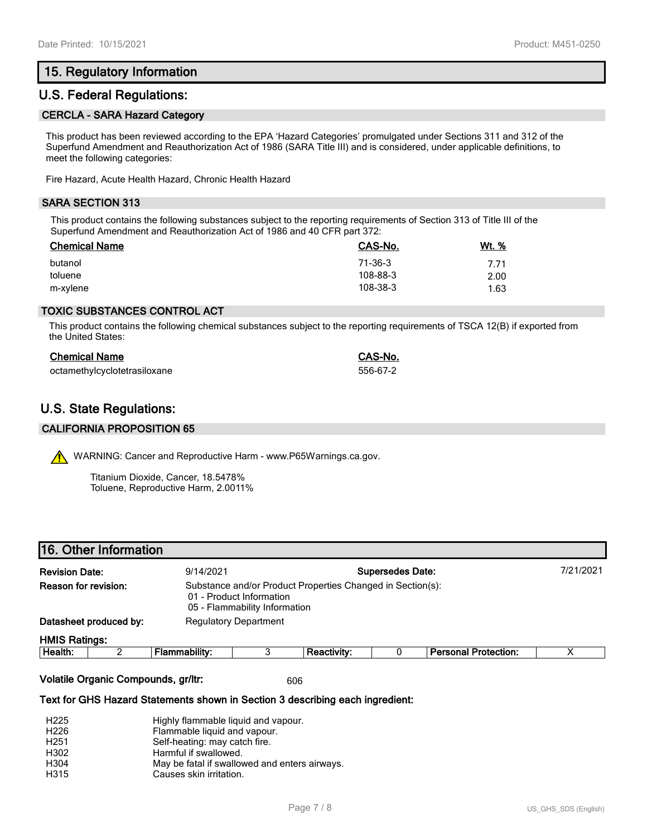## **15. Regulatory Information**

## **U.S. Federal Regulations:**

#### **CERCLA - SARA Hazard Category**

This product has been reviewed according to the EPA 'Hazard Categories' promulgated under Sections 311 and 312 of the Superfund Amendment and Reauthorization Act of 1986 (SARA Title III) and is considered, under applicable definitions, to meet the following categories:

Fire Hazard, Acute Health Hazard, Chronic Health Hazard

#### **SARA SECTION 313**

This product contains the following substances subject to the reporting requirements of Section 313 of Title III of the Superfund Amendment and Reauthorization Act of 1986 and 40 CFR part 372:

| <b>Chemical Name</b> | CAS-No.  | Wt. % |
|----------------------|----------|-------|
| butanol              | 71-36-3  | 7.71  |
| toluene              | 108-88-3 | 2.00  |
| m-xylene             | 108-38-3 | 1.63  |

#### **TOXIC SUBSTANCES CONTROL ACT**

This product contains the following chemical substances subject to the reporting requirements of TSCA 12(B) if exported from the United States:

| <b>Chemical Name</b>         | CAS-No.  |
|------------------------------|----------|
| octamethylcyclotetrasiloxane | 556-67-2 |

## **U.S. State Regulations:**

#### **CALIFORNIA PROPOSITION 65**

WARNING: Cancer and Reproductive Harm - www.P65Warnings.ca.gov.

Titanium Dioxide, Cancer, 18.5478% Toluene, Reproductive Harm, 2.0011%

| <b>Revision Date:</b>  | 9/14/2021 |                                                                                                                         |  | <b>Supersedes Date:</b> |  | 7/21/2021 |
|------------------------|-----------|-------------------------------------------------------------------------------------------------------------------------|--|-------------------------|--|-----------|
| Reason for revision:   |           | Substance and/or Product Properties Changed in Section(s):<br>01 - Product Information<br>05 - Flammability Information |  |                         |  |           |
| Datasheet produced by: |           | <b>Regulatory Department</b>                                                                                            |  |                         |  |           |
| <b>HMIS Ratings:</b>   |           |                                                                                                                         |  |                         |  |           |

| Health. | <br>nabilitv<br>.<br>Ίđ | eactivity | Damanal<br>. Protection<br>на<br>-- |  |
|---------|-------------------------|-----------|-------------------------------------|--|
|         |                         |           |                                     |  |

**Volatile Organic Compounds, gr/ltr:** 606

#### **Text for GHS Hazard Statements shown in Section 3 describing each ingredient:**

| H <sub>225</sub> | Highly flammable liquid and vapour.           |
|------------------|-----------------------------------------------|
| H <sub>226</sub> | Flammable liquid and vapour.                  |
| H <sub>251</sub> | Self-heating: may catch fire.                 |
| H302             | Harmful if swallowed.                         |
| H304             | May be fatal if swallowed and enters airways. |
| H315             | Causes skin irritation.                       |